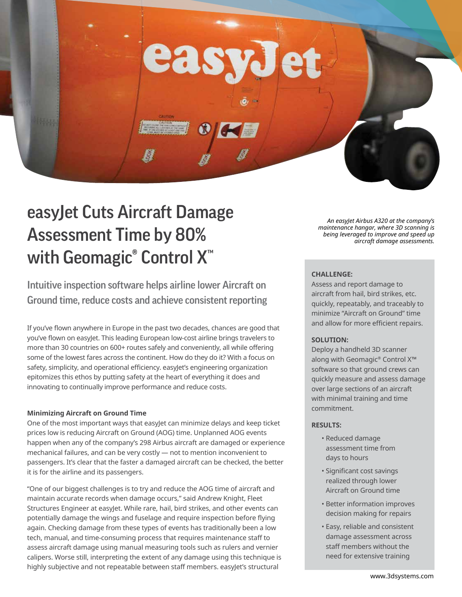

# easyJet Cuts Aircraft Damage Assessment Time by 80% with Geomagic® Control X™

Intuitive inspection software helps airline lower Aircraft on Ground time, reduce costs and achieve consistent reporting

If you've flown anywhere in Europe in the past two decades, chances are good that you've flown on easyJet. This leading European low-cost airline brings travelers to more than 30 countries on 600+ routes safely and conveniently, all while offering some of the lowest fares across the continent. How do they do it? With a focus on safety, simplicity, and operational efficiency. easyJet's engineering organization epitomizes this ethos by putting safety at the heart of everything it does and innovating to continually improve performance and reduce costs.

### **Minimizing Aircraft on Ground Time**

One of the most important ways that easyJet can minimize delays and keep ticket prices low is reducing Aircraft on Ground (AOG) time. Unplanned AOG events happen when any of the company's 298 Airbus aircraft are damaged or experience mechanical failures, and can be very costly — not to mention inconvenient to passengers. It's clear that the faster a damaged aircraft can be checked, the better it is for the airline and its passengers.

"One of our biggest challenges is to try and reduce the AOG time of aircraft and maintain accurate records when damage occurs," said Andrew Knight, Fleet Structures Engineer at easyJet. While rare, hail, bird strikes, and other events can potentially damage the wings and fuselage and require inspection before flying again. Checking damage from these types of events has traditionally been a low tech, manual, and time-consuming process that requires maintenance staff to assess aircraft damage using manual measuring tools such as rulers and vernier calipers. Worse still, interpreting the extent of any damage using this technique is highly subjective and not repeatable between staff members, easyJet's structural

*An easyJet Airbus A320 at the company's maintenance hangar, where 3D scanning is being leveraged to improve and speed up aircraft damage assessments.*

## **CHALLENGE:**

Assess and report damage to aircraft from hail, bird strikes, etc. quickly, repeatably, and traceably to minimize "Aircraft on Ground" time and allow for more efficient repairs.

# **SOLUTION:**

Deploy a handheld 3D scanner along with Geomagic® Control X™ software so that ground crews can quickly measure and assess damage over large sections of an aircraft with minimal training and time commitment.

### **RESULTS:**

- Reduced damage assessment time from days to hours
- Significant cost savings realized through lower Aircraft on Ground time
- Better information improves decision making for repairs
- Easy, reliable and consistent damage assessment across staff members without the need for extensive training